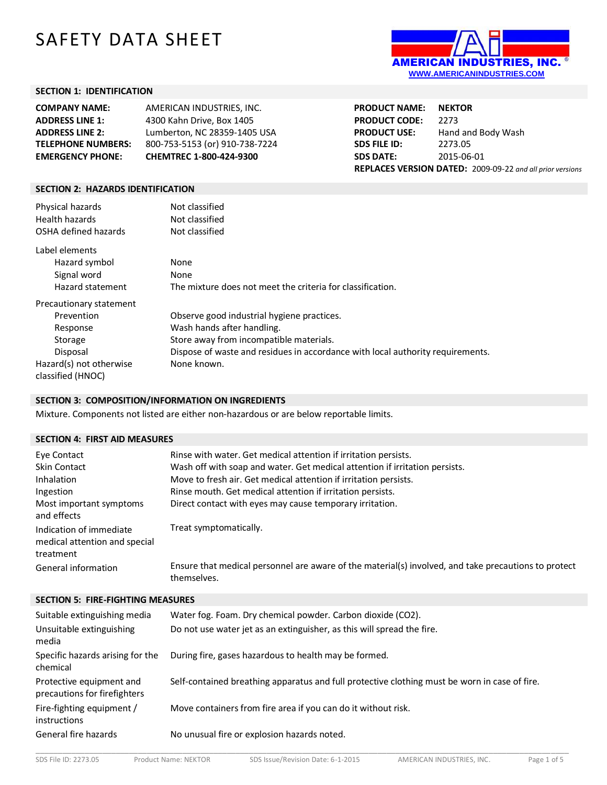# SAFETY DATA SHEET



#### **SECTION 1: IDENTIFICATION**

| AMERICAN INDUSTRIES. INC.      |
|--------------------------------|
| 4300 Kahn Drive, Box 1405      |
| Lumberton, NC 28359-1405 USA   |
| 800-753-5153 (or) 910-738-7224 |
| CHEMTREC 1-800-424-9300        |
|                                |

**PRODUCT NAME: NEKTOR PRODUCT CODE:** 2273<br>**PRODUCT USE:** Hand **Hand and Body Wash SDS FILE ID:** 2273.05 **SDS DATE:** 2015-06-01 **REPLACES VERSION DATED:** 2009-09-22 *and all prior versions*

#### **SECTION 2: HAZARDS IDENTIFICATION**

| Physical hazards<br>Health hazards<br>OSHA defined hazards | Not classified<br>Not classified<br>Not classified                             |  |  |  |
|------------------------------------------------------------|--------------------------------------------------------------------------------|--|--|--|
| Label elements                                             |                                                                                |  |  |  |
| Hazard symbol                                              | None                                                                           |  |  |  |
| Signal word                                                | None                                                                           |  |  |  |
| Hazard statement                                           | The mixture does not meet the criteria for classification.                     |  |  |  |
| Precautionary statement                                    |                                                                                |  |  |  |
| Prevention                                                 | Observe good industrial hygiene practices.                                     |  |  |  |
| Response                                                   | Wash hands after handling.                                                     |  |  |  |
| Storage                                                    | Store away from incompatible materials.                                        |  |  |  |
| Disposal                                                   | Dispose of waste and residues in accordance with local authority requirements. |  |  |  |
| Hazard(s) not otherwise                                    | None known.                                                                    |  |  |  |
| classified (HNOC)                                          |                                                                                |  |  |  |

#### **SECTION 3: COMPOSITION/INFORMATION ON INGREDIENTS**

Mixture. Components not listed are either non-hazardous or are below reportable limits.

#### **SECTION 4: FIRST AID MEASURES**

| Eye Contact                                                           | Rinse with water. Get medical attention if irritation persists.                                                     |  |  |
|-----------------------------------------------------------------------|---------------------------------------------------------------------------------------------------------------------|--|--|
| Skin Contact                                                          | Wash off with soap and water. Get medical attention if irritation persists.                                         |  |  |
| Inhalation                                                            | Move to fresh air. Get medical attention if irritation persists.                                                    |  |  |
| Ingestion                                                             | Rinse mouth. Get medical attention if irritation persists.                                                          |  |  |
| Most important symptoms<br>and effects                                | Direct contact with eyes may cause temporary irritation.                                                            |  |  |
| Indication of immediate<br>medical attention and special<br>treatment | Treat symptomatically.                                                                                              |  |  |
| General information                                                   | Ensure that medical personnel are aware of the material(s) involved, and take precautions to protect<br>themselves. |  |  |

**SECTION 5: FIRE-FIGHTING MEASURES**

| Suitable extinguishing media                             | Water fog. Foam. Dry chemical powder. Carbon dioxide (CO2).                                   |
|----------------------------------------------------------|-----------------------------------------------------------------------------------------------|
| Unsuitable extinguishing<br>media                        | Do not use water jet as an extinguisher, as this will spread the fire.                        |
| Specific hazards arising for the<br>chemical             | During fire, gases hazardous to health may be formed.                                         |
| Protective equipment and<br>precautions for firefighters | Self-contained breathing apparatus and full protective clothing must be worn in case of fire. |
| Fire-fighting equipment /<br><i>instructions</i>         | Move containers from fire area if you can do it without risk.                                 |
| General fire hazards                                     | No unusual fire or explosion hazards noted.                                                   |

\_\_\_\_\_\_\_\_\_\_\_\_\_\_\_\_\_\_\_\_\_\_\_\_\_\_\_\_\_\_\_\_\_\_\_\_\_\_\_\_\_\_\_\_\_\_\_\_\_\_\_\_\_\_\_\_\_\_\_\_\_\_\_\_\_\_\_\_\_\_\_\_\_\_\_\_\_\_\_\_\_\_\_\_\_\_\_\_\_\_\_\_\_\_\_\_\_\_\_\_\_\_\_\_\_\_\_\_\_\_\_\_\_\_\_\_\_\_\_\_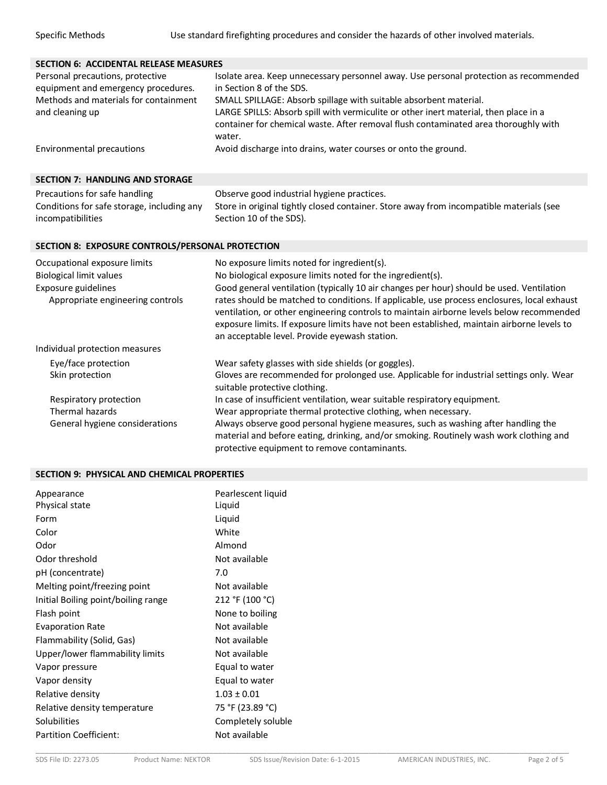|                                                                                                                                     | <b>SECTION 6: ACCIDENTAL RELEASE MEASURES</b>                                                                                                                                                                                                                                                                                                                                                                                                                                                                                                   |  |  |  |
|-------------------------------------------------------------------------------------------------------------------------------------|-------------------------------------------------------------------------------------------------------------------------------------------------------------------------------------------------------------------------------------------------------------------------------------------------------------------------------------------------------------------------------------------------------------------------------------------------------------------------------------------------------------------------------------------------|--|--|--|
| Personal precautions, protective<br>equipment and emergency procedures.<br>Methods and materials for containment<br>and cleaning up | Isolate area. Keep unnecessary personnel away. Use personal protection as recommended<br>in Section 8 of the SDS.<br>SMALL SPILLAGE: Absorb spillage with suitable absorbent material.<br>LARGE SPILLS: Absorb spill with vermiculite or other inert material, then place in a<br>container for chemical waste. After removal flush contaminated area thoroughly with<br>water.                                                                                                                                                                 |  |  |  |
| Environmental precautions                                                                                                           | Avoid discharge into drains, water courses or onto the ground.                                                                                                                                                                                                                                                                                                                                                                                                                                                                                  |  |  |  |
| <b>SECTION 7: HANDLING AND STORAGE</b>                                                                                              |                                                                                                                                                                                                                                                                                                                                                                                                                                                                                                                                                 |  |  |  |
| Precautions for safe handling<br>Conditions for safe storage, including any<br>incompatibilities                                    | Observe good industrial hygiene practices.<br>Store in original tightly closed container. Store away from incompatible materials (see<br>Section 10 of the SDS).                                                                                                                                                                                                                                                                                                                                                                                |  |  |  |
| SECTION 8: EXPOSURE CONTROLS/PERSONAL PROTECTION                                                                                    |                                                                                                                                                                                                                                                                                                                                                                                                                                                                                                                                                 |  |  |  |
| Occupational exposure limits<br><b>Biological limit values</b><br>Exposure guidelines<br>Appropriate engineering controls           | No exposure limits noted for ingredient(s).<br>No biological exposure limits noted for the ingredient(s).<br>Good general ventilation (typically 10 air changes per hour) should be used. Ventilation<br>rates should be matched to conditions. If applicable, use process enclosures, local exhaust<br>ventilation, or other engineering controls to maintain airborne levels below recommended<br>exposure limits. If exposure limits have not been established, maintain airborne levels to<br>an acceptable level. Provide eyewash station. |  |  |  |
| Individual protection measures                                                                                                      |                                                                                                                                                                                                                                                                                                                                                                                                                                                                                                                                                 |  |  |  |
| Eye/face protection<br>Skin protection<br>Respiratory protection<br>Thermal hazards<br>General hygiene considerations               | Wear safety glasses with side shields (or goggles).<br>Gloves are recommended for prolonged use. Applicable for industrial settings only. Wear<br>suitable protective clothing.<br>In case of insufficient ventilation, wear suitable respiratory equipment.<br>Wear appropriate thermal protective clothing, when necessary.<br>Always observe good personal hygiene measures, such as washing after handling the<br>material and before eating, drinking, and/or smoking. Routinely wash work clothing and                                    |  |  |  |
|                                                                                                                                     | protective equipment to remove contaminants.                                                                                                                                                                                                                                                                                                                                                                                                                                                                                                    |  |  |  |

## **SECTION 9: PHYSICAL AND CHEMICAL PROPERTIES**

| Liquid<br>Form                                         |  |
|--------------------------------------------------------|--|
| White<br>Color                                         |  |
| Almond<br>Odor                                         |  |
| Odor threshold<br>Not available                        |  |
| pH (concentrate)<br>7.0                                |  |
| Melting point/freezing point<br>Not available          |  |
| 212 °F (100 °C)<br>Initial Boiling point/boiling range |  |
| None to boiling<br>Flash point                         |  |
| Not available<br><b>Evaporation Rate</b>               |  |
| Flammability (Solid, Gas)<br>Not available             |  |
| Upper/lower flammability limits<br>Not available       |  |
| Equal to water<br>Vapor pressure                       |  |
| Equal to water<br>Vapor density                        |  |
| Relative density<br>$1.03 + 0.01$                      |  |
| 75 °F (23.89 °C)<br>Relative density temperature       |  |
| Solubilities<br>Completely soluble                     |  |
| <b>Partition Coefficient:</b><br>Not available         |  |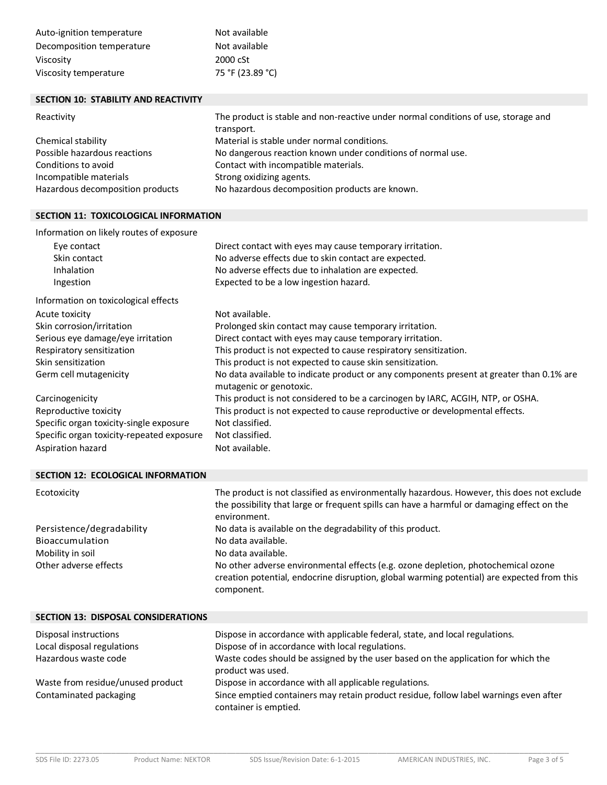| Auto-ignition temperature | Not available    |
|---------------------------|------------------|
| Decomposition temperature | Not available    |
| Viscosity                 | 2000 cSt         |
| Viscosity temperature     | 75 °F (23.89 °C) |

## **SECTION 10: STABILITY AND REACTIVITY**

| Reactivity                       | The product is stable and non-reactive under normal conditions of use, storage and |  |
|----------------------------------|------------------------------------------------------------------------------------|--|
|                                  | transport.                                                                         |  |
| Chemical stability               | Material is stable under normal conditions.                                        |  |
| Possible hazardous reactions     | No dangerous reaction known under conditions of normal use.                        |  |
| Conditions to avoid              | Contact with incompatible materials.                                               |  |
| Incompatible materials           | Strong oxidizing agents.                                                           |  |
| Hazardous decomposition products | No hazardous decomposition products are known.                                     |  |

## **SECTION 11: TOXICOLOGICAL INFORMATION**

Information on likely routes of exposure

| Eye contact<br>Skin contact               | Direct contact with eyes may cause temporary irritation.<br>No adverse effects due to skin contact are expected.    |
|-------------------------------------------|---------------------------------------------------------------------------------------------------------------------|
| Inhalation                                | No adverse effects due to inhalation are expected.                                                                  |
| Ingestion                                 | Expected to be a low ingestion hazard.                                                                              |
| Information on toxicological effects      |                                                                                                                     |
| Acute toxicity                            | Not available.                                                                                                      |
| Skin corrosion/irritation                 | Prolonged skin contact may cause temporary irritation.                                                              |
| Serious eye damage/eye irritation         | Direct contact with eyes may cause temporary irritation.                                                            |
| Respiratory sensitization                 | This product is not expected to cause respiratory sensitization.                                                    |
| Skin sensitization                        | This product is not expected to cause skin sensitization.                                                           |
| Germ cell mutagenicity                    | No data available to indicate product or any components present at greater than 0.1% are<br>mutagenic or genotoxic. |
| Carcinogenicity                           | This product is not considered to be a carcinogen by IARC, ACGIH, NTP, or OSHA.                                     |
| Reproductive toxicity                     | This product is not expected to cause reproductive or developmental effects.                                        |
| Specific organ toxicity-single exposure   | Not classified.                                                                                                     |
| Specific organ toxicity-repeated exposure | Not classified.                                                                                                     |
| Aspiration hazard                         | Not available.                                                                                                      |

## **SECTION 12: ECOLOGICAL INFORMATION**

| Ecotoxicity               | The product is not classified as environmentally hazardous. However, this does not exclude<br>the possibility that large or frequent spills can have a harmful or damaging effect on the<br>environment. |
|---------------------------|----------------------------------------------------------------------------------------------------------------------------------------------------------------------------------------------------------|
| Persistence/degradability | No data is available on the degradability of this product.                                                                                                                                               |
| Bioaccumulation           | No data available.                                                                                                                                                                                       |
| Mobility in soil          | No data available.                                                                                                                                                                                       |
| Other adverse effects     | No other adverse environmental effects (e.g. ozone depletion, photochemical ozone<br>creation potential, endocrine disruption, global warming potential) are expected from this<br>component.            |

| <b>SECTION 13: DISPOSAL CONSIDERATIONS</b> |                                                                                                                |
|--------------------------------------------|----------------------------------------------------------------------------------------------------------------|
| Disposal instructions                      | Dispose in accordance with applicable federal, state, and local regulations.                                   |
| Local disposal regulations                 | Dispose of in accordance with local regulations.                                                               |
| Hazardous waste code                       | Waste codes should be assigned by the user based on the application for which the<br>product was used.         |
| Waste from residue/unused product          | Dispose in accordance with all applicable regulations.                                                         |
| Contaminated packaging                     | Since emptied containers may retain product residue, follow label warnings even after<br>container is emptied. |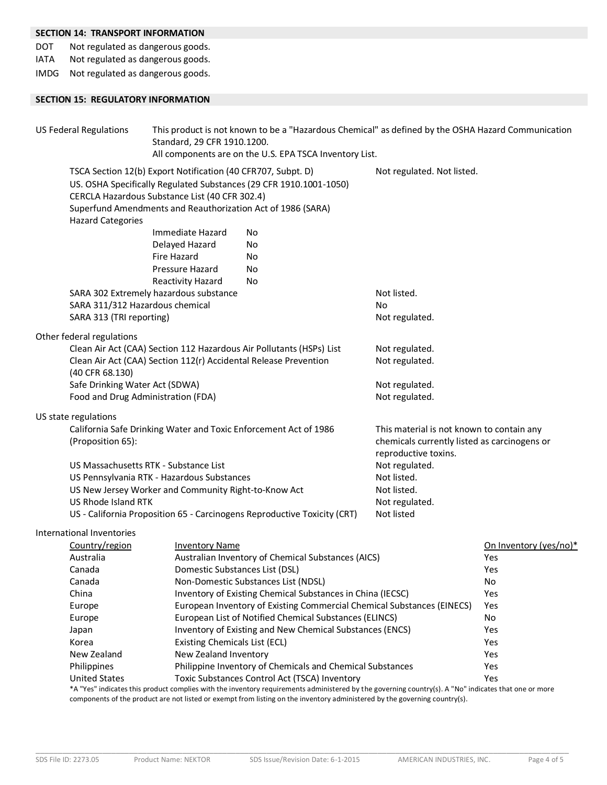# **SECTION 14: TRANSPORT INFORMATION**

DOT Not regulated as dangerous goods.

IATA Not regulated as dangerous goods.

IMDG Not regulated as dangerous goods.

## **SECTION 15: REGULATORY INFORMATION**

| <b>US Federal Regulations</b>                                        | This product is not known to be a "Hazardous Chemical" as defined by the OSHA Hazard Communication<br>Standard, 29 CFR 1910.1200.<br>All components are on the U.S. EPA TSCA Inventory List. |                                                                                                                                                                                                       |                                                                      |                        |
|----------------------------------------------------------------------|----------------------------------------------------------------------------------------------------------------------------------------------------------------------------------------------|-------------------------------------------------------------------------------------------------------------------------------------------------------------------------------------------------------|----------------------------------------------------------------------|------------------------|
| <b>Hazard Categories</b>                                             | TSCA Section 12(b) Export Notification (40 CFR707, Subpt. D)<br>CERCLA Hazardous Substance List (40 CFR 302.4)<br>Superfund Amendments and Reauthorization Act of 1986 (SARA)                | US. OSHA Specifically Regulated Substances (29 CFR 1910.1001-1050)                                                                                                                                    | Not regulated. Not listed.                                           |                        |
|                                                                      | Immediate Hazard                                                                                                                                                                             | No                                                                                                                                                                                                    |                                                                      |                        |
|                                                                      | Delayed Hazard                                                                                                                                                                               | No                                                                                                                                                                                                    |                                                                      |                        |
|                                                                      | <b>Fire Hazard</b>                                                                                                                                                                           | No                                                                                                                                                                                                    |                                                                      |                        |
|                                                                      | Pressure Hazard                                                                                                                                                                              | No                                                                                                                                                                                                    |                                                                      |                        |
|                                                                      | <b>Reactivity Hazard</b>                                                                                                                                                                     | No                                                                                                                                                                                                    |                                                                      |                        |
|                                                                      | SARA 302 Extremely hazardous substance                                                                                                                                                       |                                                                                                                                                                                                       | Not listed.                                                          |                        |
|                                                                      | SARA 311/312 Hazardous chemical                                                                                                                                                              |                                                                                                                                                                                                       | No                                                                   |                        |
| SARA 313 (TRI reporting)                                             |                                                                                                                                                                                              |                                                                                                                                                                                                       | Not regulated.                                                       |                        |
| Other federal regulations                                            |                                                                                                                                                                                              |                                                                                                                                                                                                       |                                                                      |                        |
| Clean Air Act (CAA) Section 112 Hazardous Air Pollutants (HSPs) List |                                                                                                                                                                                              |                                                                                                                                                                                                       | Not regulated.                                                       |                        |
|                                                                      | Clean Air Act (CAA) Section 112(r) Accidental Release Prevention                                                                                                                             |                                                                                                                                                                                                       | Not regulated.                                                       |                        |
| (40 CFR 68.130)                                                      |                                                                                                                                                                                              |                                                                                                                                                                                                       |                                                                      |                        |
| Safe Drinking Water Act (SDWA)                                       |                                                                                                                                                                                              |                                                                                                                                                                                                       | Not regulated.                                                       |                        |
|                                                                      | Food and Drug Administration (FDA)                                                                                                                                                           |                                                                                                                                                                                                       | Not regulated.                                                       |                        |
| US state regulations                                                 |                                                                                                                                                                                              |                                                                                                                                                                                                       |                                                                      |                        |
|                                                                      |                                                                                                                                                                                              | California Safe Drinking Water and Toxic Enforcement Act of 1986                                                                                                                                      | This material is not known to contain any                            |                        |
| (Proposition 65):                                                    |                                                                                                                                                                                              |                                                                                                                                                                                                       | chemicals currently listed as carcinogens or<br>reproductive toxins. |                        |
|                                                                      | US Massachusetts RTK - Substance List                                                                                                                                                        |                                                                                                                                                                                                       | Not regulated.                                                       |                        |
|                                                                      | US Pennsylvania RTK - Hazardous Substances                                                                                                                                                   |                                                                                                                                                                                                       | Not listed.                                                          |                        |
| US New Jersey Worker and Community Right-to-Know Act                 |                                                                                                                                                                                              |                                                                                                                                                                                                       | Not listed.                                                          |                        |
| US Rhode Island RTK                                                  |                                                                                                                                                                                              | Not regulated.                                                                                                                                                                                        |                                                                      |                        |
|                                                                      |                                                                                                                                                                                              | US - California Proposition 65 - Carcinogens Reproductive Toxicity (CRT)                                                                                                                              | Not listed                                                           |                        |
| International Inventories                                            |                                                                                                                                                                                              |                                                                                                                                                                                                       |                                                                      |                        |
| Country/region                                                       | <b>Inventory Name</b>                                                                                                                                                                        |                                                                                                                                                                                                       |                                                                      | On Inventory (yes/no)* |
| Australia                                                            |                                                                                                                                                                                              | Australian Inventory of Chemical Substances (AICS)                                                                                                                                                    |                                                                      | Yes                    |
| Canada                                                               |                                                                                                                                                                                              | Domestic Substances List (DSL)                                                                                                                                                                        |                                                                      | Yes                    |
| Canada                                                               |                                                                                                                                                                                              | Non-Domestic Substances List (NDSL)                                                                                                                                                                   |                                                                      | No                     |
| China                                                                |                                                                                                                                                                                              | Inventory of Existing Chemical Substances in China (IECSC)                                                                                                                                            |                                                                      | Yes                    |
| Europe                                                               |                                                                                                                                                                                              | European Inventory of Existing Commercial Chemical Substances (EINECS)                                                                                                                                |                                                                      | Yes                    |
| Europe                                                               |                                                                                                                                                                                              | European List of Notified Chemical Substances (ELINCS)                                                                                                                                                |                                                                      | No                     |
| Japan                                                                |                                                                                                                                                                                              | Inventory of Existing and New Chemical Substances (ENCS)                                                                                                                                              |                                                                      | Yes                    |
| Korea                                                                | Existing Chemicals List (ECL)                                                                                                                                                                |                                                                                                                                                                                                       |                                                                      | Yes                    |
| New Zealand                                                          | New Zealand Inventory                                                                                                                                                                        |                                                                                                                                                                                                       |                                                                      | Yes                    |
| Philippines                                                          |                                                                                                                                                                                              | Philippine Inventory of Chemicals and Chemical Substances                                                                                                                                             |                                                                      | Yes                    |
| <b>United States</b>                                                 |                                                                                                                                                                                              | Toxic Substances Control Act (TSCA) Inventory<br>*A "Yes" indicates this product complies with the inventory requirements administered by the governing country(s). A "No" indicates that one or more |                                                                      | Yes                    |

\*A "Yes" indicates this product complies with the inventory requirements administered by the governing country(s). A "No" indicates that one or more components of the product are not listed or exempt from listing on the inventory administered by the governing country(s).